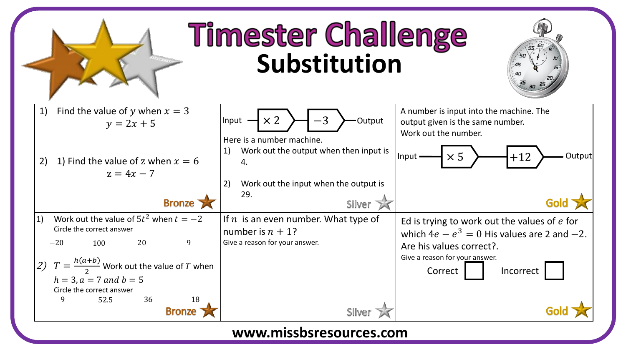

## **www.missbsresources.com**